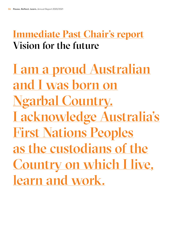## **Immediate Past Chair's report** Vision for the future

I am a proud Australian and I was born on Ngarbal Country. I acknowledge Australia's First Nations Peoples as the custodians of the Country on which I live, learn and work.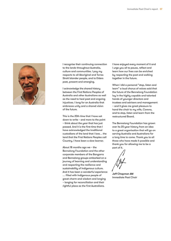

I recognise their continuing connection to the lands throughout Australia, culture and communities. I pay my respects to all Aboriginal and Torres Strait Islander people, and to Elders past, present and emerging.

I acknowledge the shared history between the First Nations Peoples of Australia and other Australians as well as the need to heal past and ongoing injustices. I long for an Australia that embraces unity and a shared vision of the future.

This is the 20th time that I have sat down to write – and more to the point – think about the year that has just passed. And it is the first time that I have acknowledged the traditional custodians of the land that I love… the land that the First Nations Peoples call Country. I have been a slow learner.

About 18 months ago we – the Bennelong Foundation and the other corporate members of the Bangarra and Bennelong groups embarked on a journey of learning and understanding and respecting the resilience and sustainability of Indigenous culture. And it has been a wonderful experience … filled with Indigenous people of great charm and wisdom and longing – longing for reconciliation and their rightful place as the first Australians.

I have enjoyed every moment of it and I urge you all to pause, reflect and learn how our lives can be enriched by respecting the past and walking together in the future.

When I did a personal "stop, listen and learn" a loud chorus of voices said that the future of the Bennelong Foundation lay in the highly capable and talented hands of younger directors and trustees and advisers and management – and it gives me great pleasure to hand the chair to my wife, Carena, and to stop, listen and learn from the restructured Board.

The Bennelong Foundation has grown over its 20-year history from an idea to a great organisation that will go on serving Australia and Australians for a long time to come. Thank you to all those who have made it possible and thank you for allowing me to be a part of it.

Jeff Chapman AM Immediate Past Chair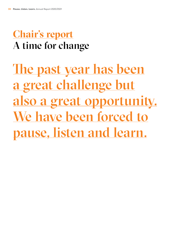## **Chair's report** A time for change

The past year has been a great challenge but also a great opportunity. We have been forced to pause, listen and learn.